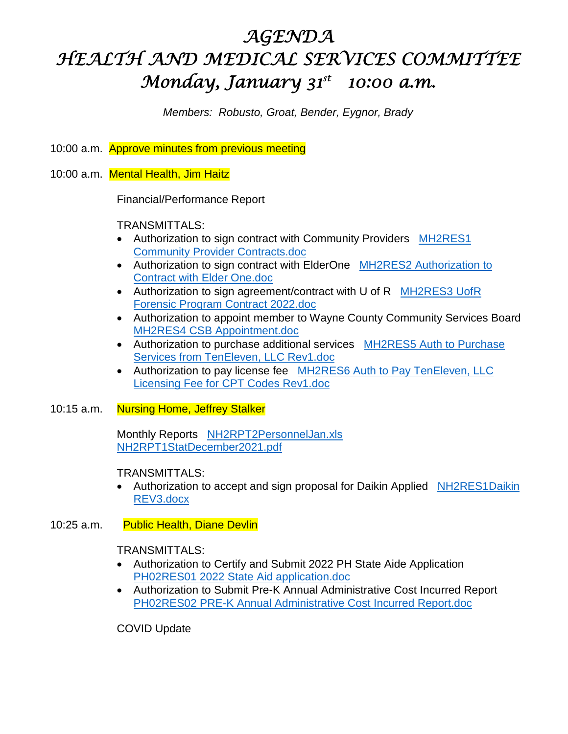# *AGENDA HEALTH AND MEDICAL SERVICES COMMITTEE Monday, January 31st 10:00 a.m.*

*Members: Robusto, Groat, Bender, Eygnor, Brady* 

10:00 a.m. Approve minutes from previous meeting

10:00 a.m. Mental Health, Jim Haitz

Financial/Performance Report

TRANSMITTALS:

- Authorization to sign contract with Community Providers MH2RES1 Community Provider Contracts.doc
- Authorization to sign contract with ElderOne MH2RES2 Authorization to Contract with Elder One.doc
- Authorization to sign agreement/contract with U of R MH2RES3 UofR Forensic Program Contract 2022.doc
- Authorization to appoint member to Wayne County Community Services Board MH2RES4 CSB Appointment.doc
- Authorization to purchase additional services MH2RES5 Auth to Purchase Services from TenEleven, LLC Rev1.doc
- Authorization to pay license fee MH2RES6 Auth to Pay TenEleven, LLC Licensing Fee for CPT Codes Rev1.doc

#### 10:15 a.m. Nursing Home, Jeffrey Stalker

Monthly Reports NH2RPT2PersonnelJan.xls NH2RPT1StatDecember2021.pdf

#### TRANSMITTALS:

- Authorization to accept and sign proposal for Daikin Applied NH2RES1Daikin REV3.docx
- 10:25 a.m. Public Health, Diane Devlin

### TRANSMITTALS:

- Authorization to Certify and Submit 2022 PH State Aide Application PH02RES01 2022 State Aid application.doc
- Authorization to Submit Pre-K Annual Administrative Cost Incurred Report PH02RES02 PRE-K Annual Administrative Cost Incurred Report.doc

COVID Update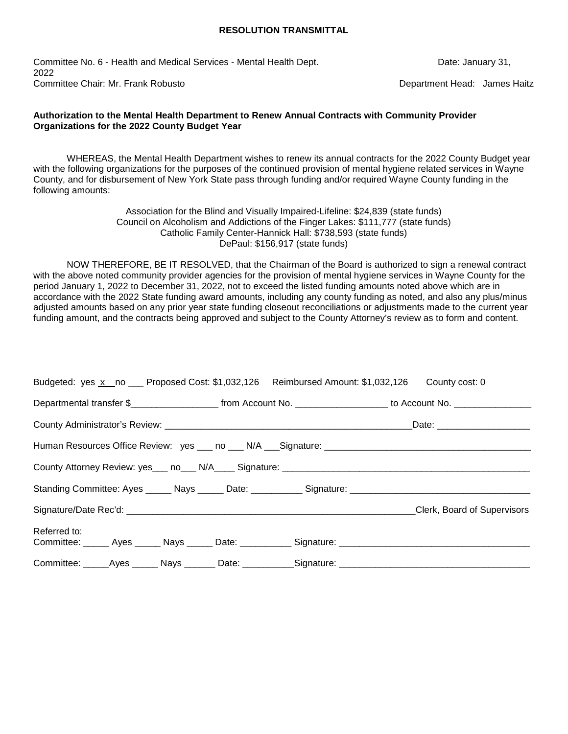Committee No. 6 - Health and Medical Services - Mental Health Dept. Date: January 31, 2022 Committee Chair: Mr. Frank Robusto **Department Head: James Haitz** Department Head: James Haitz

#### **Authorization to the Mental Health Department to Renew Annual Contracts with Community Provider Organizations for the 2022 County Budget Year**

WHEREAS, the Mental Health Department wishes to renew its annual contracts for the 2022 County Budget year with the following organizations for the purposes of the continued provision of mental hygiene related services in Wayne County, and for disbursement of New York State pass through funding and/or required Wayne County funding in the following amounts:

> Association for the Blind and Visually Impaired-Lifeline: \$24,839 (state funds) Council on Alcoholism and Addictions of the Finger Lakes: \$111,777 (state funds) Catholic Family Center-Hannick Hall: \$738,593 (state funds) DePaul: \$156,917 (state funds)

NOW THEREFORE, BE IT RESOLVED, that the Chairman of the Board is authorized to sign a renewal contract with the above noted community provider agencies for the provision of mental hygiene services in Wayne County for the period January 1, 2022 to December 31, 2022, not to exceed the listed funding amounts noted above which are in accordance with the 2022 State funding award amounts, including any county funding as noted, and also any plus/minus adjusted amounts based on any prior year state funding closeout reconciliations or adjustments made to the current year funding amount, and the contracts being approved and subject to the County Attorney's review as to form and content.

| Budgeted: yes x no ___ Proposed Cost: \$1,032,126 Reimbursed Amount: \$1,032,126 County cost: 0                       |  |  |
|-----------------------------------------------------------------------------------------------------------------------|--|--|
| Departmental transfer \$________________________ from Account No. ____________________ to Account No. _______________ |  |  |
|                                                                                                                       |  |  |
|                                                                                                                       |  |  |
|                                                                                                                       |  |  |
|                                                                                                                       |  |  |
|                                                                                                                       |  |  |
| Referred to:                                                                                                          |  |  |
|                                                                                                                       |  |  |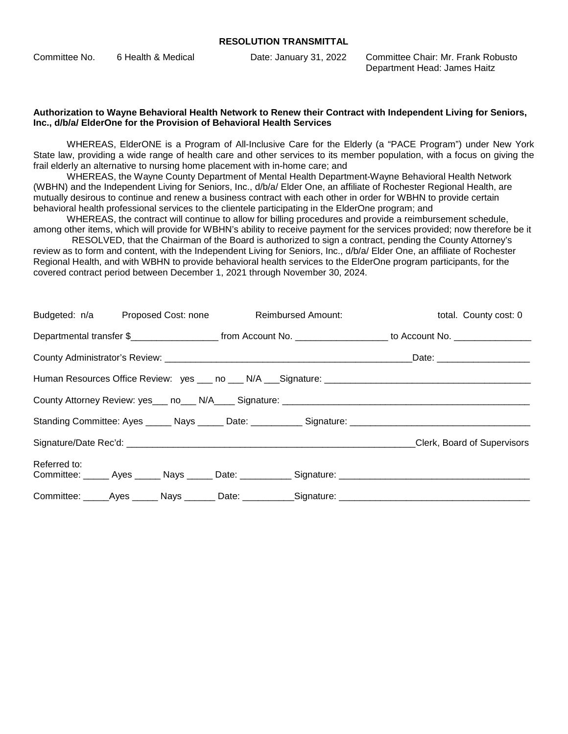| Committee No. | 6 Health & Medical | Date: January 31, 2022 | Committee Chair: Mr. Frank Robusto |
|---------------|--------------------|------------------------|------------------------------------|
|               |                    |                        | Department Head: James Haitz       |

#### **Authorization to Wayne Behavioral Health Network to Renew their Contract with Independent Living for Seniors, Inc., d/b/a/ ElderOne for the Provision of Behavioral Health Services**

WHEREAS, ElderONE is a Program of All-Inclusive Care for the Elderly (a "PACE Program") under New York State law, providing a wide range of health care and other services to its member population, with a focus on giving the frail elderly an alternative to nursing home placement with in-home care; and

WHEREAS, the Wayne County Department of Mental Health Department-Wayne Behavioral Health Network (WBHN) and the Independent Living for Seniors, Inc., d/b/a/ Elder One, an affiliate of Rochester Regional Health, are mutually desirous to continue and renew a business contract with each other in order for WBHN to provide certain behavioral health professional services to the clientele participating in the ElderOne program; and

WHEREAS, the contract will continue to allow for billing procedures and provide a reimbursement schedule, among other items, which will provide for WBHN's ability to receive payment for the services provided; now therefore be it

 RESOLVED, that the Chairman of the Board is authorized to sign a contract, pending the County Attorney's review as to form and content, with the Independent Living for Seniors, Inc., d/b/a/ Elder One, an affiliate of Rochester Regional Health, and with WBHN to provide behavioral health services to the ElderOne program participants, for the covered contract period between December 1, 2021 through November 30, 2024.

|              |  | Budgeted: n/a Proposed Cost: none Reimbursed Amount: | total. County cost: 0                                                                                                                    |
|--------------|--|------------------------------------------------------|------------------------------------------------------------------------------------------------------------------------------------------|
|              |  |                                                      | Departmental transfer \$________________________________from Account No. ____________________________ to Account No. ___________________ |
|              |  |                                                      |                                                                                                                                          |
|              |  |                                                      |                                                                                                                                          |
|              |  |                                                      |                                                                                                                                          |
|              |  |                                                      |                                                                                                                                          |
|              |  |                                                      | Clerk, Board of Supervisors                                                                                                              |
| Referred to: |  |                                                      |                                                                                                                                          |
|              |  |                                                      | Committee: _____Ayes ______ Nays _______ Date: __________Signature: ________________________________                                     |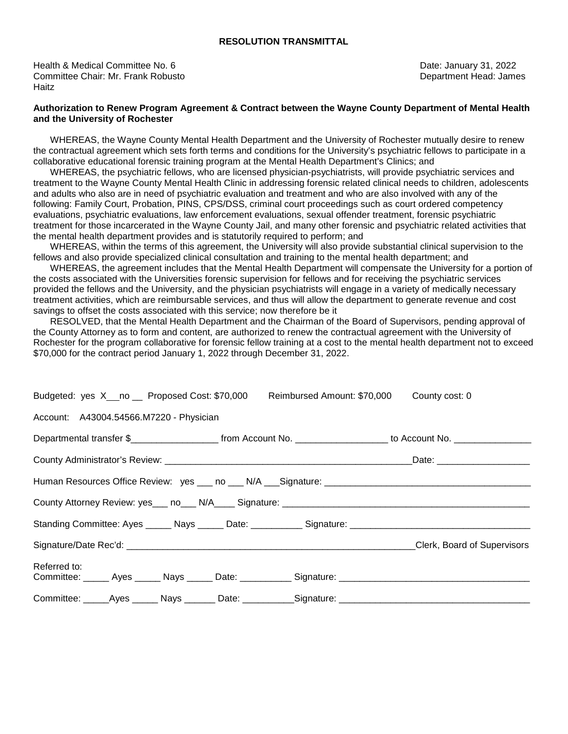Health & Medical Committee No. 6 **Date: January 31, 2022 Date: January 31, 2022** Committee Chair: Mr. Frank Robusto **Department Head: James** Department Head: James **Haitz** 

#### **Authorization to Renew Program Agreement & Contract between the Wayne County Department of Mental Health and the University of Rochester**

 WHEREAS, the Wayne County Mental Health Department and the University of Rochester mutually desire to renew the contractual agreement which sets forth terms and conditions for the University's psychiatric fellows to participate in a collaborative educational forensic training program at the Mental Health Department's Clinics; and

 WHEREAS, the psychiatric fellows, who are licensed physician-psychiatrists, will provide psychiatric services and treatment to the Wayne County Mental Health Clinic in addressing forensic related clinical needs to children, adolescents and adults who also are in need of psychiatric evaluation and treatment and who are also involved with any of the following: Family Court, Probation, PINS, CPS/DSS, criminal court proceedings such as court ordered competency evaluations, psychiatric evaluations, law enforcement evaluations, sexual offender treatment, forensic psychiatric treatment for those incarcerated in the Wayne County Jail, and many other forensic and psychiatric related activities that the mental health department provides and is statutorily required to perform; and

 WHEREAS, within the terms of this agreement, the University will also provide substantial clinical supervision to the fellows and also provide specialized clinical consultation and training to the mental health department; and

 WHEREAS, the agreement includes that the Mental Health Department will compensate the University for a portion of the costs associated with the Universities forensic supervision for fellows and for receiving the psychiatric services provided the fellows and the University, and the physician psychiatrists will engage in a variety of medically necessary treatment activities, which are reimbursable services, and thus will allow the department to generate revenue and cost savings to offset the costs associated with this service; now therefore be it

 RESOLVED, that the Mental Health Department and the Chairman of the Board of Supervisors, pending approval of the County Attorney as to form and content, are authorized to renew the contractual agreement with the University of Rochester for the program collaborative for forensic fellow training at a cost to the mental health department not to exceed \$70,000 for the contract period January 1, 2022 through December 31, 2022.

|                                         | Budgeted: yes X no Proposed Cost: \$70,000 Reimbursed Amount: \$70,000 County cost: 0                                 |
|-----------------------------------------|-----------------------------------------------------------------------------------------------------------------------|
| Account: A43004.54566.M7220 - Physician |                                                                                                                       |
|                                         | Departmental transfer \$_________________________ from Account No. ____________________ to Account No. ______________ |
|                                         |                                                                                                                       |
|                                         |                                                                                                                       |
|                                         |                                                                                                                       |
|                                         |                                                                                                                       |
|                                         |                                                                                                                       |
| Referred to:                            |                                                                                                                       |
|                                         |                                                                                                                       |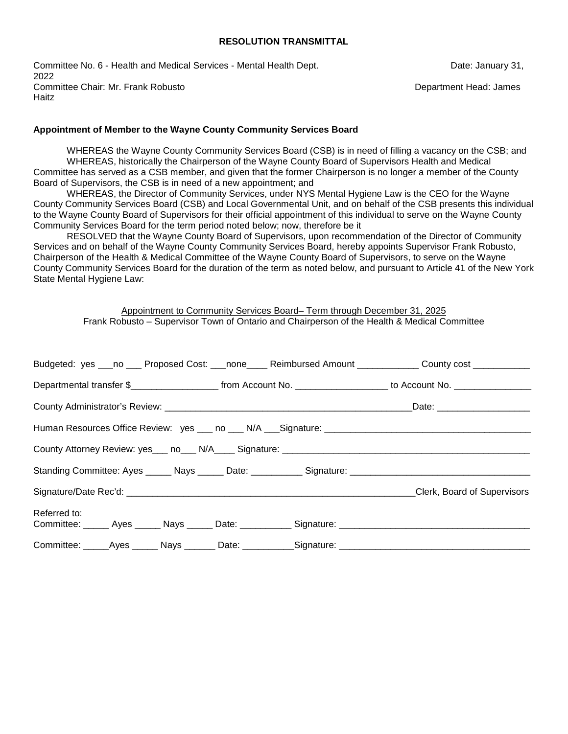Committee No. 6 - Health and Medical Services - Mental Health Dept. Date: January 31, 2022 Committee Chair: Mr. Frank Robusto **Department Head: James** Department Head: James Haitz

#### **Appointment of Member to the Wayne County Community Services Board**

WHEREAS the Wayne County Community Services Board (CSB) is in need of filling a vacancy on the CSB; and WHEREAS, historically the Chairperson of the Wayne County Board of Supervisors Health and Medical Committee has served as a CSB member, and given that the former Chairperson is no longer a member of the County Board of Supervisors, the CSB is in need of a new appointment; and

WHEREAS, the Director of Community Services, under NYS Mental Hygiene Law is the CEO for the Wayne County Community Services Board (CSB) and Local Governmental Unit, and on behalf of the CSB presents this individual to the Wayne County Board of Supervisors for their official appointment of this individual to serve on the Wayne County Community Services Board for the term period noted below; now, therefore be it

RESOLVED that the Wayne County Board of Supervisors, upon recommendation of the Director of Community Services and on behalf of the Wayne County Community Services Board, hereby appoints Supervisor Frank Robusto, Chairperson of the Health & Medical Committee of the Wayne County Board of Supervisors, to serve on the Wayne County Community Services Board for the duration of the term as noted below, and pursuant to Article 41 of the New York State Mental Hygiene Law:

Appointment to Community Services Board– Term through December 31, 2025 Frank Robusto – Supervisor Town of Ontario and Chairperson of the Health & Medical Committee

|              |  |                                                                                                      | Budgeted: yes ___no ___ Proposed Cost: ___none____ Reimbursed Amount ___________ County cost ___________              |
|--------------|--|------------------------------------------------------------------------------------------------------|-----------------------------------------------------------------------------------------------------------------------|
|              |  |                                                                                                      | Departmental transfer \$________________________ from Account No. ____________________ to Account No. _______________ |
|              |  |                                                                                                      |                                                                                                                       |
|              |  |                                                                                                      |                                                                                                                       |
|              |  |                                                                                                      |                                                                                                                       |
|              |  |                                                                                                      | Standing Committee: Ayes ______ Nays ______ Date: ___________ Signature: ___________________________                  |
|              |  |                                                                                                      | Clerk, Board of Supervisors                                                                                           |
| Referred to: |  |                                                                                                      |                                                                                                                       |
|              |  | Committee: ______Ayes ______ Nays _______ Date: ___________Signature: ______________________________ |                                                                                                                       |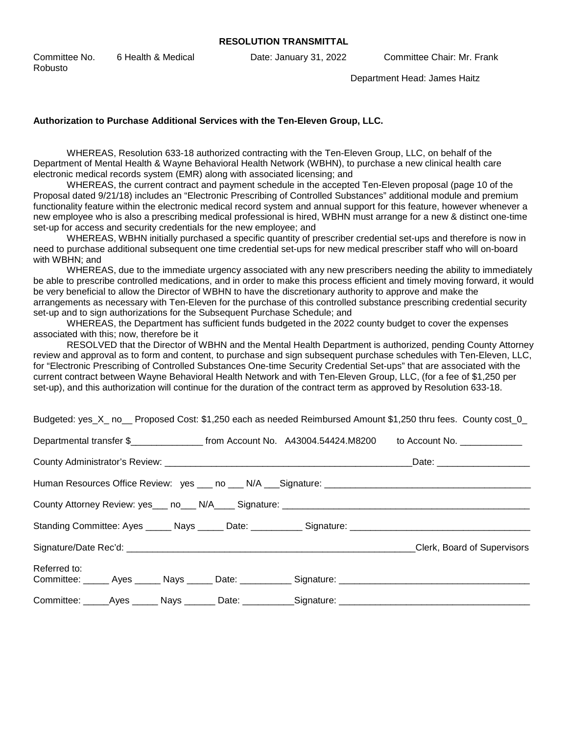Committee No. 6 Health & Medical Date: January 31, 2022 Committee Chair: Mr. Frank Robusto

Department Head: James Haitz

#### **Authorization to Purchase Additional Services with the Ten-Eleven Group, LLC.**

WHEREAS, Resolution 633-18 authorized contracting with the Ten-Eleven Group, LLC, on behalf of the Department of Mental Health & Wayne Behavioral Health Network (WBHN), to purchase a new clinical health care electronic medical records system (EMR) along with associated licensing; and

WHEREAS, the current contract and payment schedule in the accepted Ten-Eleven proposal (page 10 of the Proposal dated 9/21/18) includes an "Electronic Prescribing of Controlled Substances" additional module and premium functionality feature within the electronic medical record system and annual support for this feature, however whenever a new employee who is also a prescribing medical professional is hired, WBHN must arrange for a new & distinct one-time set-up for access and security credentials for the new employee; and

WHEREAS, WBHN initially purchased a specific quantity of prescriber credential set-ups and therefore is now in need to purchase additional subsequent one time credential set-ups for new medical prescriber staff who will on-board with WBHN; and

WHEREAS, due to the immediate urgency associated with any new prescribers needing the ability to immediately be able to prescribe controlled medications, and in order to make this process efficient and timely moving forward, it would be very beneficial to allow the Director of WBHN to have the discretionary authority to approve and make the arrangements as necessary with Ten-Eleven for the purchase of this controlled substance prescribing credential security set-up and to sign authorizations for the Subsequent Purchase Schedule; and

WHEREAS, the Department has sufficient funds budgeted in the 2022 county budget to cover the expenses associated with this; now, therefore be it

RESOLVED that the Director of WBHN and the Mental Health Department is authorized, pending County Attorney review and approval as to form and content, to purchase and sign subsequent purchase schedules with Ten-Eleven, LLC, for "Electronic Prescribing of Controlled Substances One-time Security Credential Set-ups" that are associated with the current contract between Wayne Behavioral Health Network and with Ten-Eleven Group, LLC, (for a fee of \$1,250 per set-up), and this authorization will continue for the duration of the contract term as approved by Resolution 633-18.

Budgeted: yes X\_ no \_ Proposed Cost: \$1,250 each as needed Reimbursed Amount \$1,250 thru fees. County cost 0

| Departmental transfer \$____________________ from Account No. A43004.54424.M8200 to Account No. ______________ |  |                             |
|----------------------------------------------------------------------------------------------------------------|--|-----------------------------|
|                                                                                                                |  |                             |
|                                                                                                                |  |                             |
|                                                                                                                |  |                             |
|                                                                                                                |  |                             |
|                                                                                                                |  | Clerk, Board of Supervisors |
| Referred to:                                                                                                   |  |                             |
|                                                                                                                |  |                             |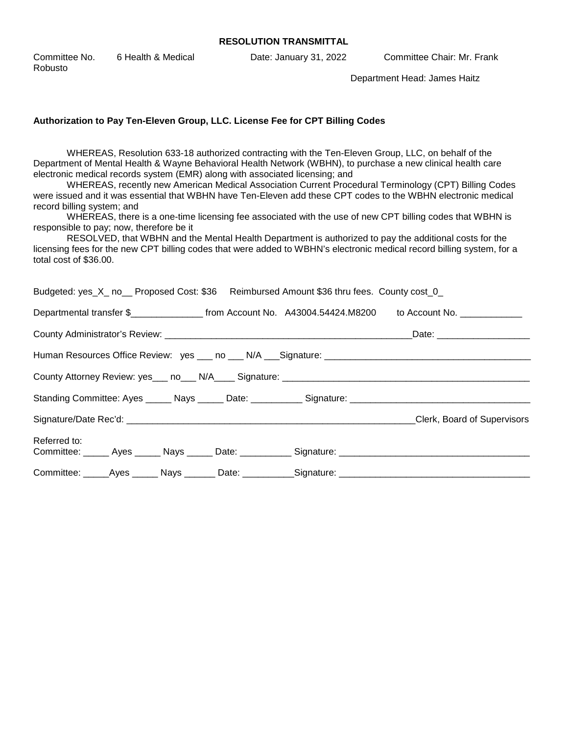| Committee No. | 6 Health & Medical | Date: January 31, 2022 | Committee Chair: Mr. Frank |
|---------------|--------------------|------------------------|----------------------------|
| Robusto       |                    |                        |                            |

Department Head: James Haitz

#### **Authorization to Pay Ten-Eleven Group, LLC. License Fee for CPT Billing Codes**

WHEREAS, Resolution 633-18 authorized contracting with the Ten-Eleven Group, LLC, on behalf of the Department of Mental Health & Wayne Behavioral Health Network (WBHN), to purchase a new clinical health care electronic medical records system (EMR) along with associated licensing; and

WHEREAS, recently new American Medical Association Current Procedural Terminology (CPT) Billing Codes were issued and it was essential that WBHN have Ten-Eleven add these CPT codes to the WBHN electronic medical record billing system; and

WHEREAS, there is a one-time licensing fee associated with the use of new CPT billing codes that WBHN is responsible to pay; now, therefore be it

RESOLVED, that WBHN and the Mental Health Department is authorized to pay the additional costs for the licensing fees for the new CPT billing codes that were added to WBHN's electronic medical record billing system, for a total cost of \$36.00.

| Budgeted: yes_X_ no__ Proposed Cost: \$36 Reimbursed Amount \$36 thru fees. County cost_0                            |  |                             |
|----------------------------------------------------------------------------------------------------------------------|--|-----------------------------|
| Departmental transfer \$____________________ from Account No. A43004.54424.M8200 to Account No. ______________       |  |                             |
|                                                                                                                      |  | _Date: ____________________ |
|                                                                                                                      |  |                             |
|                                                                                                                      |  |                             |
|                                                                                                                      |  |                             |
|                                                                                                                      |  | Clerk, Board of Supervisors |
| Referred to:<br>Committee: ______ Ayes ______ Nays ______ Date: ___________ Signature: _____________________________ |  |                             |
|                                                                                                                      |  |                             |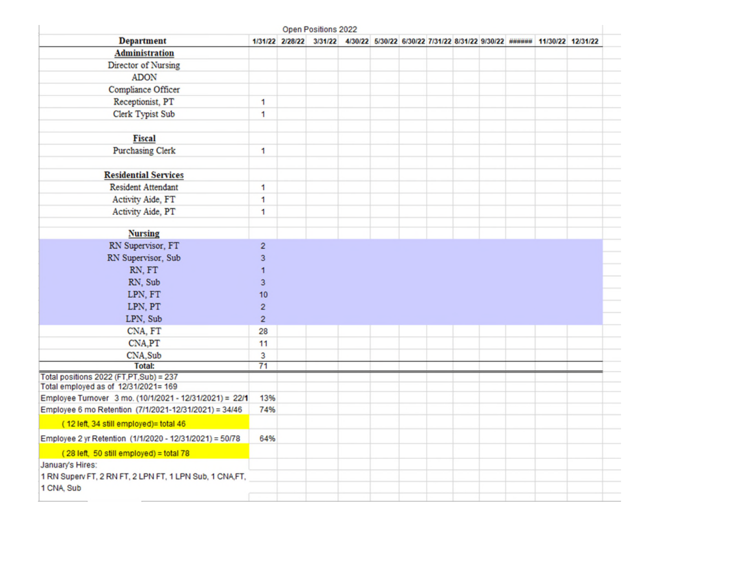|                                                                                                 |                | Open Positions 2022                                                                              |  |  |  |  |  |
|-------------------------------------------------------------------------------------------------|----------------|--------------------------------------------------------------------------------------------------|--|--|--|--|--|
| <b>Department</b>                                                                               |                | 1/31/22 2/28/22 3/31/22 4/30/22 5/30/22 6/30/22 7/31/22 8/31/22 9/30/22 ###### 11/30/22 12/31/22 |  |  |  |  |  |
| <b>Administration</b>                                                                           |                |                                                                                                  |  |  |  |  |  |
| Director of Nursing                                                                             |                |                                                                                                  |  |  |  |  |  |
| <b>ADON</b>                                                                                     |                |                                                                                                  |  |  |  |  |  |
| Compliance Officer                                                                              |                |                                                                                                  |  |  |  |  |  |
| Receptionist, PT                                                                                | 1              |                                                                                                  |  |  |  |  |  |
| Clerk Typist Sub                                                                                | 1              |                                                                                                  |  |  |  |  |  |
| <b>Fiscal</b>                                                                                   |                |                                                                                                  |  |  |  |  |  |
| <b>Purchasing Clerk</b>                                                                         | 1              |                                                                                                  |  |  |  |  |  |
| <b>Residential Services</b>                                                                     |                |                                                                                                  |  |  |  |  |  |
| <b>Resident Attendant</b>                                                                       | 1              |                                                                                                  |  |  |  |  |  |
| Activity Aide, FT                                                                               | 1              |                                                                                                  |  |  |  |  |  |
| Activity Aide, PT                                                                               | 1              |                                                                                                  |  |  |  |  |  |
| <b>Nursing</b>                                                                                  |                |                                                                                                  |  |  |  |  |  |
| RN Supervisor, FT                                                                               | $\overline{c}$ |                                                                                                  |  |  |  |  |  |
| RN Supervisor, Sub                                                                              | 3              |                                                                                                  |  |  |  |  |  |
| RN, FT                                                                                          | 1              |                                                                                                  |  |  |  |  |  |
| RN, Sub                                                                                         | 3              |                                                                                                  |  |  |  |  |  |
| LPN, FT                                                                                         | 10             |                                                                                                  |  |  |  |  |  |
| LPN, PT                                                                                         | $\overline{c}$ |                                                                                                  |  |  |  |  |  |
| LPN, Sub                                                                                        | $\overline{c}$ |                                                                                                  |  |  |  |  |  |
| CNA, FT                                                                                         | 28             |                                                                                                  |  |  |  |  |  |
| CNA,PT                                                                                          | 11             |                                                                                                  |  |  |  |  |  |
| CNA, Sub                                                                                        | 3              |                                                                                                  |  |  |  |  |  |
| <b>Total:</b>                                                                                   | 71             |                                                                                                  |  |  |  |  |  |
| Total positions 2022 (FT,PT,Sub) = 237                                                          |                |                                                                                                  |  |  |  |  |  |
| Total employed as of 12/31/2021= 169<br>Employee Turnover 3 mo. (10/1/2021 - 12/31/2021) = 22/1 | 13%            |                                                                                                  |  |  |  |  |  |
| Employee 6 mo Retention (7/1/2021-12/31/2021) = 34/46                                           | 74%            |                                                                                                  |  |  |  |  |  |
| (12 left, 34 still employed)= total 46                                                          |                |                                                                                                  |  |  |  |  |  |
|                                                                                                 | 64%            |                                                                                                  |  |  |  |  |  |
| Employee 2 yr Retention (1/1/2020 - 12/31/2021) = 50/78                                         |                |                                                                                                  |  |  |  |  |  |
| (28 left, 50 still employed) = total 78                                                         |                |                                                                                                  |  |  |  |  |  |
| January's Hires:<br>1 RN Superv FT, 2 RN FT, 2 LPN FT, 1 LPN Sub, 1 CNA,FT,                     |                |                                                                                                  |  |  |  |  |  |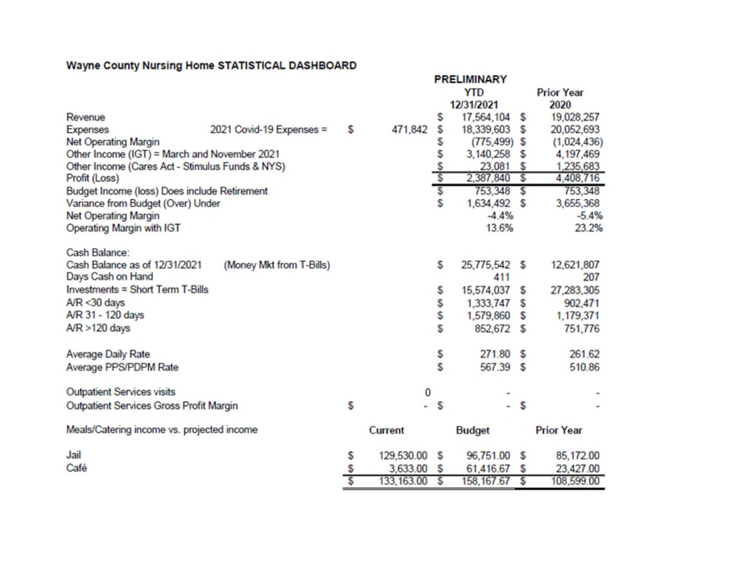|                                                 |                          |    |                |                         | <b>PRELIMINARY</b> |    |                   |
|-------------------------------------------------|--------------------------|----|----------------|-------------------------|--------------------|----|-------------------|
|                                                 |                          |    |                |                         | <b>YTD</b>         |    | <b>Prior Year</b> |
|                                                 |                          |    |                |                         | 12/31/2021         |    | 2020              |
| Revenue                                         |                          |    |                | S                       | 17,564,104         | s  | 19,028,257        |
| <b>Expenses</b>                                 | 2021 Covid-19 Expenses = | s  | 471,842        | \$                      | 18,339,603         | s  | 20,052,693        |
| <b>Net Operating Margin</b>                     |                          |    |                | s                       | $(775, 499)$ \$    |    | (1,024,436)       |
| Other Income (IGT) = March and November 2021    |                          |    |                | \$                      | 3,140,258          | s  | 4,197,469         |
| Other Income (Cares Act - Stimulus Funds & NYS) |                          |    |                | $rac{5}{5}$             | 23,081             | s  | 1,235,683         |
| Profit (Loss)                                   |                          |    |                |                         | 2,387,840          | s  | 4,408,716         |
| Budget Income (loss) Does include Retirement    |                          |    |                | $\overline{\mathbf{s}}$ | $753,348$ \$       |    | 753,348           |
| Variance from Budget (Over) Under               |                          |    |                | S                       | 1,634,492          | S  | 3,655,368         |
| <b>Net Operating Margin</b>                     |                          |    |                |                         | $-4.4%$            |    | $-5.4%$           |
| Operating Margin with IGT                       |                          |    |                |                         | 13.6%              |    | 23.2%             |
| Cash Balance:                                   |                          |    |                |                         |                    |    |                   |
| Cash Balance as of 12/31/2021                   | (Money Mkt from T-Bills) |    |                | s                       | 25,775,542 \$      |    | 12,621,807        |
| Days Cash on Hand                               |                          |    |                |                         | 411                |    | 207               |
| <b>Investments = Short Term T-Bills</b>         |                          |    |                | s                       | 15,574,037         | s  | 27,283,305        |
| $A/R < 30$ days                                 |                          |    |                | S                       | 1,333,747          | s  | 902,471           |
| A/R 31 - 120 days                               |                          |    |                | S                       | 1,579,860          | s  | 1,179,371         |
| $AYR > 120$ days                                |                          |    |                | S                       | 852,672            | -S | 751,776           |
| <b>Average Daily Rate</b>                       |                          |    |                | S                       | 271.80             | S  | 261.62            |
| Average PPS/PDPM Rate                           |                          |    |                | S                       | 567.39 \$          |    | 510.86            |
|                                                 |                          |    |                |                         |                    |    |                   |
| <b>Outpatient Services visits</b>               |                          |    | 0              |                         |                    |    |                   |
| <b>Outpatient Services Gross Profit Margin</b>  |                          | S  |                | s                       |                    | S  |                   |
| Meals/Catering income vs. projected income      |                          |    | <b>Current</b> |                         | <b>Budget</b>      |    | <b>Prior Year</b> |
| Jail                                            |                          | \$ | 129,530.00     | s                       | 96,751.00          | s  | 85,172.00         |
| Café                                            |                          | s  | 3,633.00       | s                       | 61,416.67          | s  | 23,427.00         |
|                                                 |                          | Ś  | 133, 163.00    | s                       | 158, 167.67        | s  | 108,599.00        |

## **Wayne County Nursing Home STATISTICAL DASHBOARD**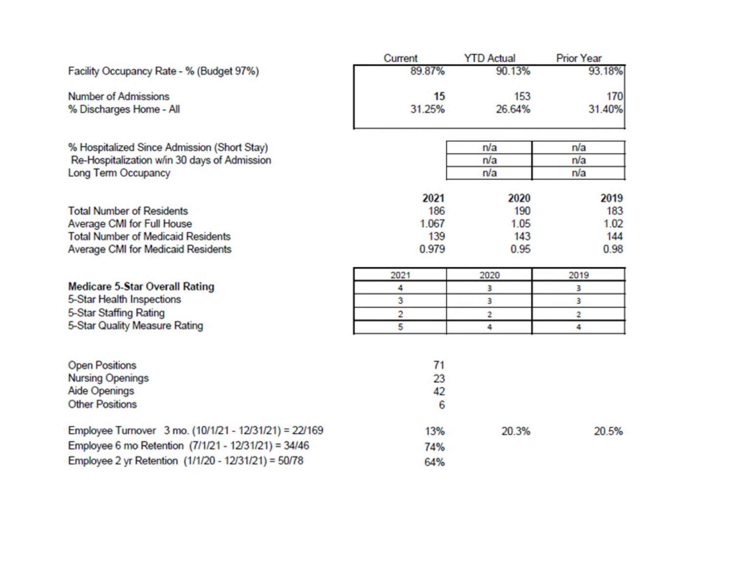|                                                       | Current | <b>YTD Actual</b> | <b>Prior Year</b> |
|-------------------------------------------------------|---------|-------------------|-------------------|
| Facility Occupancy Rate - % (Budget 97%)              | 89.87%  | 90.13%            | 93.18%            |
| <b>Number of Admissions</b>                           | 15      | 153               | 170               |
| % Discharges Home - All                               | 31.25%  | 26.64%            | 31.40%            |
|                                                       |         |                   |                   |
| % Hospitalized Since Admission (Short Stay)           |         | n/a               | n/a               |
| Re-Hospitalization w/in 30 days of Admission          |         | n/a               | n/a               |
| <b>Long Term Occupancy</b>                            |         | n/a               | n/a               |
|                                                       | 2021    | 2020              | 2019              |
| <b>Total Number of Residents</b>                      | 186     | 190               | 183               |
| Average CMI for Full House                            | 1.067   | 1.05              | 1.02              |
| <b>Total Number of Medicaid Residents</b>             | 139     | 143               | 144               |
| Average CMI for Medicaid Residents                    | 0.979   | 0.95              | 0.98              |
|                                                       | 2021    | 2020              | 2019              |
| <b>Medicare 5-Star Overall Rating</b>                 | 4       | 3                 | 3                 |
| 5-Star Health Inspections                             | 3       | 3                 | 3                 |
| 5-Star Staffing Rating                                | 2       | 2                 | 2                 |
| 5-Star Quality Measure Rating                         | 5       | 4                 | 4                 |
|                                                       |         |                   |                   |
| <b>Open Positions</b>                                 | 71      |                   |                   |
| <b>Nursing Openings</b>                               | 23      |                   |                   |
| <b>Aide Openings</b>                                  | 42      |                   |                   |
| <b>Other Positions</b>                                | 6       |                   |                   |
|                                                       |         |                   |                   |
| Employee Turnover 3 mo. (10/1/21 - 12/31/21) = 22/169 | 13%     | 20.3%             | 20.5%             |
| Employee 6 mo Retention (7/1/21 - 12/31/21) = 34/46   | 74%     |                   |                   |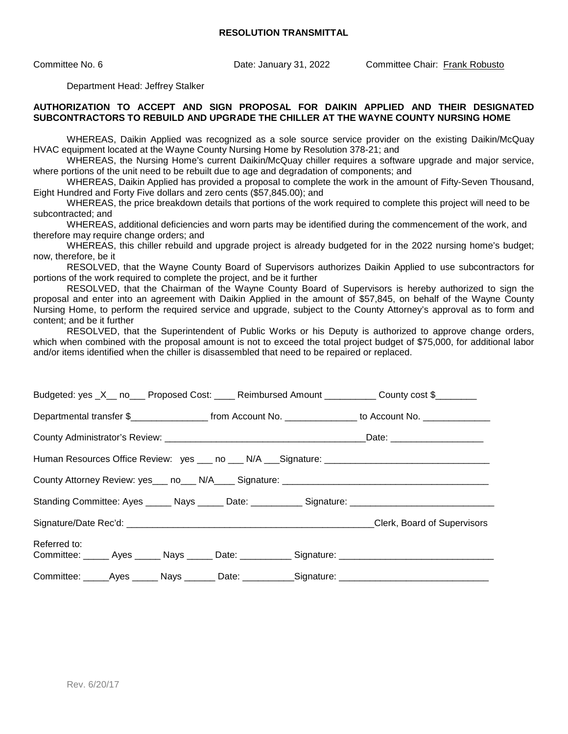Committee No. 6 Date: January 31, 2022 Committee Chair: Frank Robusto

Department Head: Jeffrey Stalker

#### **AUTHORIZATION TO ACCEPT AND SIGN PROPOSAL FOR DAIKIN APPLIED AND THEIR DESIGNATED SUBCONTRACTORS TO REBUILD AND UPGRADE THE CHILLER AT THE WAYNE COUNTY NURSING HOME**

WHEREAS, Daikin Applied was recognized as a sole source service provider on the existing Daikin/McQuay HVAC equipment located at the Wayne County Nursing Home by Resolution 378-21; and

WHEREAS, the Nursing Home's current Daikin/McQuay chiller requires a software upgrade and major service, where portions of the unit need to be rebuilt due to age and degradation of components; and

WHEREAS, Daikin Applied has provided a proposal to complete the work in the amount of Fifty-Seven Thousand, Eight Hundred and Forty Five dollars and zero cents (\$57,845.00); and

WHEREAS, the price breakdown details that portions of the work required to complete this project will need to be subcontracted; and

WHEREAS, additional deficiencies and worn parts may be identified during the commencement of the work, and therefore may require change orders; and

WHEREAS, this chiller rebuild and upgrade project is already budgeted for in the 2022 nursing home's budget; now, therefore, be it

RESOLVED, that the Wayne County Board of Supervisors authorizes Daikin Applied to use subcontractors for portions of the work required to complete the project, and be it further

RESOLVED, that the Chairman of the Wayne County Board of Supervisors is hereby authorized to sign the proposal and enter into an agreement with Daikin Applied in the amount of \$57,845, on behalf of the Wayne County Nursing Home, to perform the required service and upgrade, subject to the County Attorney's approval as to form and content; and be it further

RESOLVED, that the Superintendent of Public Works or his Deputy is authorized to approve change orders, which when combined with the proposal amount is not to exceed the total project budget of \$75,000, for additional labor and/or items identified when the chiller is disassembled that need to be repaired or replaced.

| Budgeted: yes _X__ no___ Proposed Cost: ____ Reimbursed Amount _________ County cost \$_______                      |  |  |  |                                                                                                                |  |  |  |
|---------------------------------------------------------------------------------------------------------------------|--|--|--|----------------------------------------------------------------------------------------------------------------|--|--|--|
|                                                                                                                     |  |  |  | Departmental transfer \$_____________________ from Account No. _______________ to Account No. ________________ |  |  |  |
|                                                                                                                     |  |  |  |                                                                                                                |  |  |  |
|                                                                                                                     |  |  |  |                                                                                                                |  |  |  |
|                                                                                                                     |  |  |  |                                                                                                                |  |  |  |
| Standing Committee: Ayes ______ Nays ______ Date: ___________ Signature: __________________________                 |  |  |  |                                                                                                                |  |  |  |
|                                                                                                                     |  |  |  | Clerk, Board of Supervisors                                                                                    |  |  |  |
| Referred to:<br>Committee: ______ Ayes ______ Nays ______ Date: ___________ Signature: ____________________________ |  |  |  |                                                                                                                |  |  |  |
|                                                                                                                     |  |  |  | Committee: ______Ayes _______ Nays ________ Date: ___________Signature: ____________________________           |  |  |  |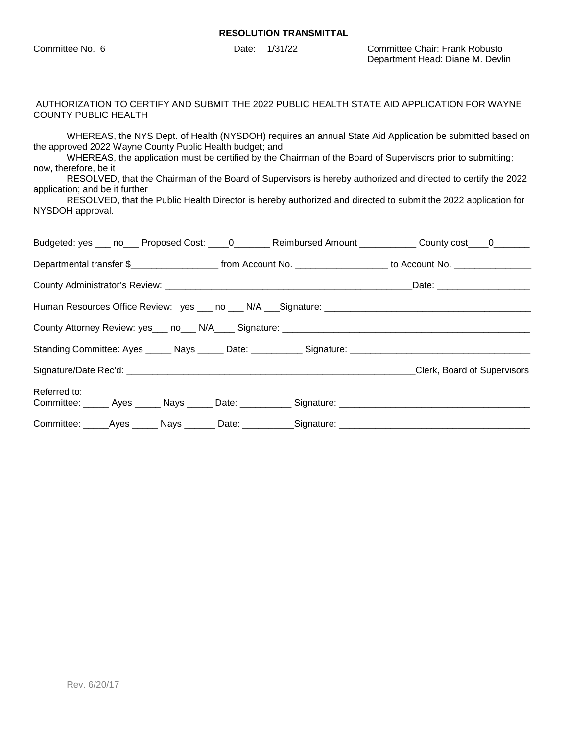Committee No. 6 Date: 1/31/22 Committee Chair: Frank Robusto Department Head: Diane M. Devlin

#### AUTHORIZATION TO CERTIFY AND SUBMIT THE 2022 PUBLIC HEALTH STATE AID APPLICATION FOR WAYNE COUNTY PUBLIC HEALTH

WHEREAS, the NYS Dept. of Health (NYSDOH) requires an annual State Aid Application be submitted based on the approved 2022 Wayne County Public Health budget; and

WHEREAS, the application must be certified by the Chairman of the Board of Supervisors prior to submitting; now, therefore, be it

RESOLVED, that the Chairman of the Board of Supervisors is hereby authorized and directed to certify the 2022 application; and be it further

RESOLVED, that the Public Health Director is hereby authorized and directed to submit the 2022 application for NYSDOH approval.

| Budgeted: yes ___ no___ Proposed Cost: ____0_______ Reimbursed Amount ___________ County cost ___0_______             |  |  |
|-----------------------------------------------------------------------------------------------------------------------|--|--|
| Departmental transfer \$________________________ from Account No. ____________________ to Account No. _______________ |  |  |
|                                                                                                                       |  |  |
|                                                                                                                       |  |  |
|                                                                                                                       |  |  |
|                                                                                                                       |  |  |
|                                                                                                                       |  |  |
| Referred to:                                                                                                          |  |  |
| Committee: _____Ayes ______ Nays _______ Date: ___________Signature: _______________________________                  |  |  |